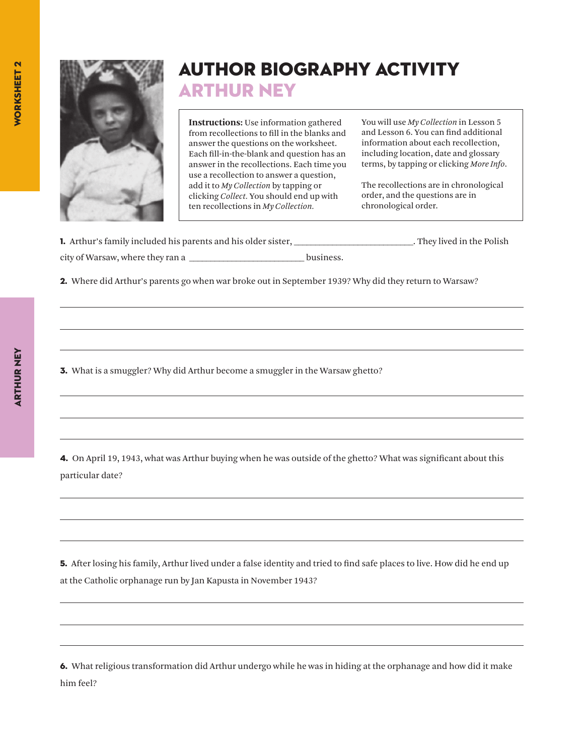

## Author Biography Activity Arthur Ney

**Instructions:** Use information gathered from recollections to fill in the blanks and answer the questions on the worksheet. Each fill-in-the-blank and question has an answer in the recollections. Each time you use a recollection to answer a question, add it to *My Collection* by tapping or clicking *Collect.* You should end up with ten recollections in *My Collection.*

You will use *My Collection* in Lesson 5 and Lesson 6. You can find additional information about each recollection, including location, date and glossary terms, by tapping or clicking *More Info*.

The recollections are in chronological order, and the questions are in chronological order.

|                                  | <b>1.</b> Arthur's family included his parents and his older sister. |           | . They lived in the Polish |
|----------------------------------|----------------------------------------------------------------------|-----------|----------------------------|
| city of Warsaw, where they ran a |                                                                      | business. |                            |

2. Where did Arthur's parents go when war broke out in September 1939? Why did they return to Warsaw?

3. What is a smuggler? Why did Arthur become a smuggler in the Warsaw ghetto?

4. On April 19, 1943, what was Arthur buying when he was outside of the ghetto? What was significant about this particular date?

5. After losing his family, Arthur lived under a false identity and tried to find safe places to live. How did he end up at the Catholic orphanage run by Jan Kapusta in November 1943?

6. What religious transformation did Arthur undergo while he was in hiding at the orphanage and how did it make him feel?